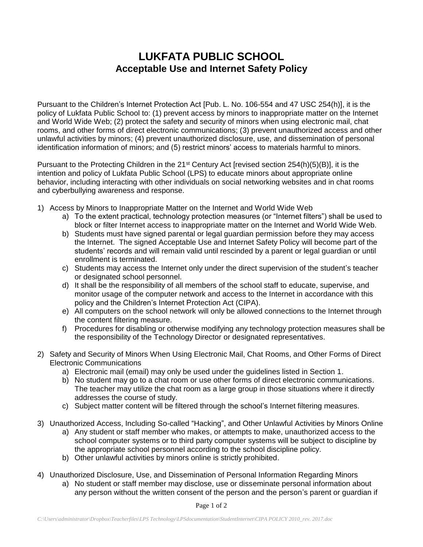## **LUKFATA PUBLIC SCHOOL Acceptable Use and Internet Safety Policy**

Pursuant to the Children's Internet Protection Act [Pub. L. No. 106-554 and 47 USC 254(h)], it is the policy of Lukfata Public School to: (1) prevent access by minors to inappropriate matter on the Internet and World Wide Web; (2) protect the safety and security of minors when using electronic mail, chat rooms, and other forms of direct electronic communications; (3) prevent unauthorized access and other unlawful activities by minors; (4) prevent unauthorized disclosure, use, and dissemination of personal identification information of minors; and (5) restrict minors' access to materials harmful to minors.

Pursuant to the Protecting Children in the 21<sup>st</sup> Century Act [revised section 254(h)(5)(B)], it is the intention and policy of Lukfata Public School (LPS) to educate minors about appropriate online behavior, including interacting with other individuals on social networking websites and in chat rooms and cyberbullying awareness and response.

- 1) Access by Minors to Inappropriate Matter on the Internet and World Wide Web
	- a) To the extent practical, technology protection measures (or "Internet filters") shall be used to block or filter Internet access to inappropriate matter on the Internet and World Wide Web.
	- b) Students must have signed parental or legal guardian permission before they may access the Internet. The signed Acceptable Use and Internet Safety Policy will become part of the students' records and will remain valid until rescinded by a parent or legal guardian or until enrollment is terminated.
	- c) Students may access the Internet only under the direct supervision of the student's teacher or designated school personnel.
	- d) It shall be the responsibility of all members of the school staff to educate, supervise, and monitor usage of the computer network and access to the Internet in accordance with this policy and the Children's Internet Protection Act (CIPA).
	- e) All computers on the school network will only be allowed connections to the Internet through the content filtering measure.
	- f) Procedures for disabling or otherwise modifying any technology protection measures shall be the responsibility of the Technology Director or designated representatives.
- 2) Safety and Security of Minors When Using Electronic Mail, Chat Rooms, and Other Forms of Direct Electronic Communications
	- a) Electronic mail (email) may only be used under the guidelines listed in Section 1.
	- b) No student may go to a chat room or use other forms of direct electronic communications. The teacher may utilize the chat room as a large group in those situations where it directly addresses the course of study.
	- c) Subject matter content will be filtered through the school's Internet filtering measures.
- 3) Unauthorized Access, Including So-called "Hacking", and Other Unlawful Activities by Minors Online a) Any student or staff member who makes, or attempts to make, unauthorized access to the school computer systems or to third party computer systems will be subject to discipline by the appropriate school personnel according to the school discipline policy.
	- b) Other unlawful activities by minors online is strictly prohibited.
- 4) Unauthorized Disclosure, Use, and Dissemination of Personal Information Regarding Minors
	- a) No student or staff member may disclose, use or disseminate personal information about any person without the written consent of the person and the person's parent or guardian if

Page 1 of 2